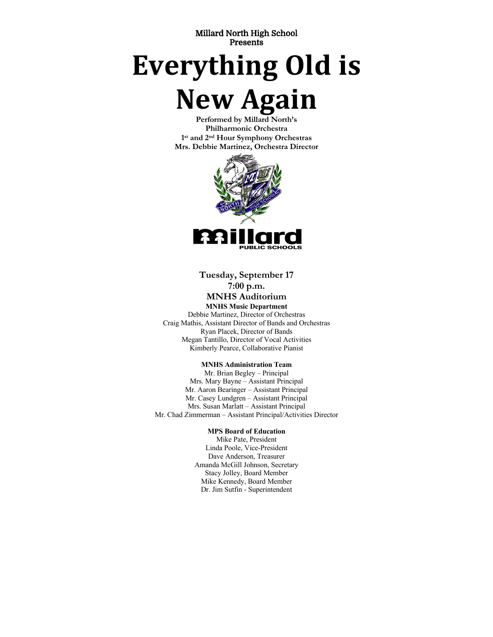Millard North High School Presents

# **Everything Old is**

# **New Again**

**Performed by Millard North's Philharmonic Orchestra 1st and 2nd Hour Symphony Orchestras Mrs. Debbie Martinez, Orchestra Director**



**Tuesday, September 17 7:00 p.m. MNHS Auditorium**

**MNHS Music Department** Debbie Martinez, Director of Orchestras Craig Mathis, Assistant Director of Bands and Orchestras Ryan Placek, Director of Bands Megan Tantillo, Director of Vocal Activities Kimberly Pearce, Collaborative Pianist

#### **MNHS Administration Team**

Mr. Brian Begley – Principal Mrs. Mary Bayne – Assistant Principal Mr. Aaron Bearinger – Assistant Principal Mr. Casey Lundgren – Assistant Principal Mrs. Susan Marlatt – Assistant Principal Mr. Chad Zimmerman – Assistant Principal/Activities Director

#### **MPS Board of Education**

Mike Pate, President Linda Poole, Vice-President Dave Anderson, Treasurer Amanda McGill Johnson, Secretary Stacy Jolley, Board Member Mike Kennedy, Board Member Dr. Jim Sutfin - Superintendent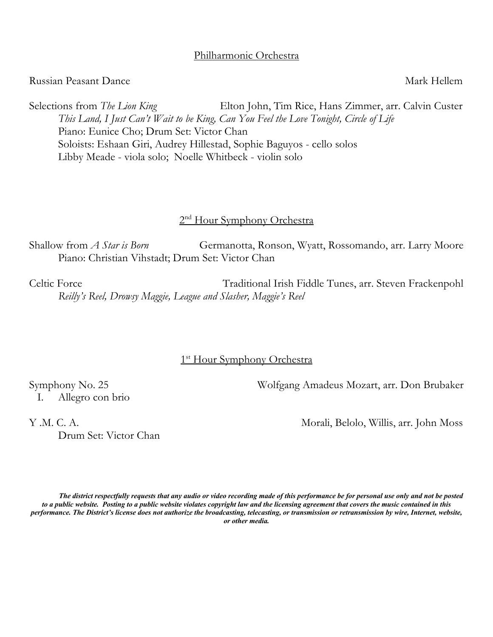# Philharmonic Orchestra

# Russian Peasant Dance National School and The Mark Hellem

Selections from *The Lion King* Elton John, Tim Rice, Hans Zimmer, arr. Calvin Custer *This Land, I Just Can't Wait to be King, Can You Feel the Love Tonight, Circle of Life* Piano: Eunice Cho; Drum Set: Victor Chan Soloists: Eshaan Giri, Audrey Hillestad, Sophie Baguyos - cello solos Libby Meade - viola solo; Noelle Whitbeck - violin solo

# 2<sup>nd</sup> Hour Symphony Orchestra

Shallow from *A Star is Born* Germanotta, Ronson, Wyatt, Rossomando, arr. Larry Moore Piano: Christian Vihstadt; Drum Set: Victor Chan

Celtic Force Traditional Irish Fiddle Tunes, arr. Steven Frackenpohl *Reilly's Reel, Drowsy Maggie, League and Slasher, Maggie's Reel*

# 1<sup>st</sup> Hour Symphony Orchestra

Symphony No. 25 Wolfgang Amadeus Mozart, arr. Don Brubaker

I. Allegro con brio

Y .M. C. A. Morali, Belolo, Willis, arr. John Moss

*The district respectfully requests that any audio or video recording made of this performance be for personal use only and not be posted to a public website. Posting to a public website violates copyright law and the licensing agreement that covers the music contained in this performance. The District's license does not authorize the broadcasting, telecasting, or transmission or retransmission by wire, Internet, website, or other media.*

Drum Set: Victor Chan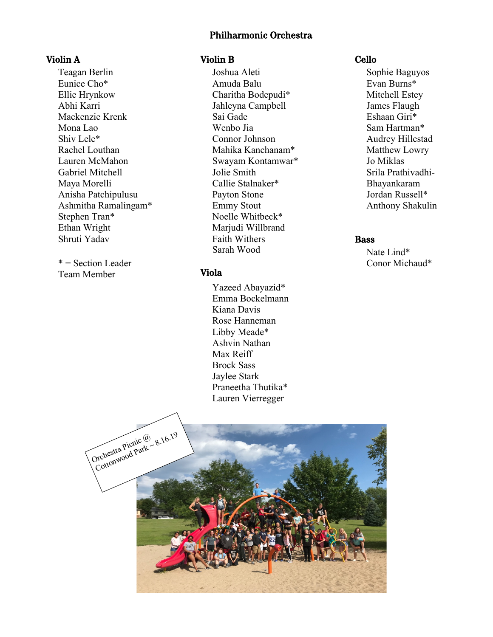#### Philharmonic Orchestra

# Violin A

Teagan Berlin Eunice Cho\* Ellie Hrynkow Abhi Karri Mackenzie Krenk Mona Lao Shiv Lele\* Rachel Louthan Lauren McMahon Gabriel Mitchell Maya Morelli Anisha Patchipulusu Ashmitha Ramalingam\* Stephen Tran\* Ethan Wright Shruti Yadav

 $* =$  Section Leader Team Member

# Violin B

Joshua Aleti Amuda Balu Charitha Bodepudi\* Jahleyna Campbell Sai Gade Wenbo Jia Connor Johnson Mahika Kanchanam\* Swayam Kontamwar\* Jolie Smith Callie Stalnaker\* Payton Stone Emmy Stout Noelle Whitbeck\* Marjudi Willbrand Faith Withers Sarah Wood

## Viola

Yazeed Abayazid\* Emma Bockelmann Kiana Davis Rose Hanneman Libby Meade\* Ashvin Nathan Max Reiff Brock Sass Jaylee Stark Praneetha Thutika\* Lauren Vierregger

#### Cello

Sophie Baguyos Evan Burns\* Mitchell Estey James Flaugh Eshaan Giri\* Sam Hartman\* Audrey Hillestad Matthew Lowry Jo Miklas Srila Prathivadhi-Bhayankaram Jordan Russell\* Anthony Shakulin

# Bass

Nate Lind\* Conor Michaud\*

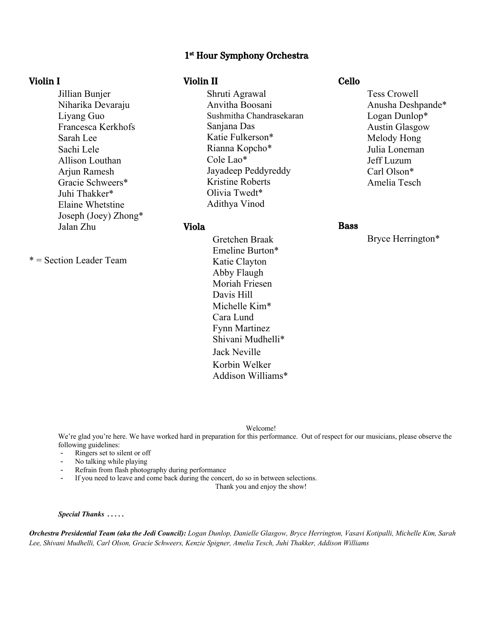#### 1st Hour Symphony Orchestra

#### Violin I

Jillian Bunjer Niharika Devaraju Liyang Guo Francesca Kerkhofs Sarah Lee Sachi Lele Allison Louthan Arjun Ramesh Gracie Schweers\* Juhi Thakker\* Elaine Whetstine Joseph (Joey) Zhong\* Jalan Zhu

\* = Section Leader Team

#### Violin II

Shruti Agrawal Anvitha Boosani Sushmitha Chandrasekaran Sanjana Das Katie Fulkerson\* Rianna Kopcho\* Cole Lao\* Jayadeep Peddyreddy Kristine Roberts Olivia Twedt\* Adithya Vinod

#### Viola

Gretchen Braak Emeline Burton\* Katie Clayton Abby Flaugh Moriah Friesen Davis Hill Michelle Kim\* Cara Lund Fynn Martinez Shivani Mudhelli\* Jack Neville Korbin Welker Addison Williams\*

#### Cello

Tess Crowell Anusha Deshpande\* Logan Dunlop\* Austin Glasgow Melody Hong Julia Loneman Jeff Luzum Carl Olson\* Amelia Tesch

#### Bass

Bryce Herrington\*

Welcome!

We're glad you're here. We have worked hard in preparation for this performance. Out of respect for our musicians, please observe the following guidelines:

- Ringers set to silent or off
- No talking while playing
- Refrain from flash photography during performance
- If you need to leave and come back during the concert, do so in between selections.

Thank you and enjoy the show!

#### *Special Thanks . . . . .*

*Orchestra Presidential Team (aka the Jedi Council): Logan Dunlop, Danielle Glasgow, Bryce Herrington, Vasavi Kotipalli, Michelle Kim, Sarah Lee, Shivani Mudhelli, Carl Olson, Gracie Schweers, Kenzie Spigner, Amelia Tesch, Juhi Thakker, Addison Williams*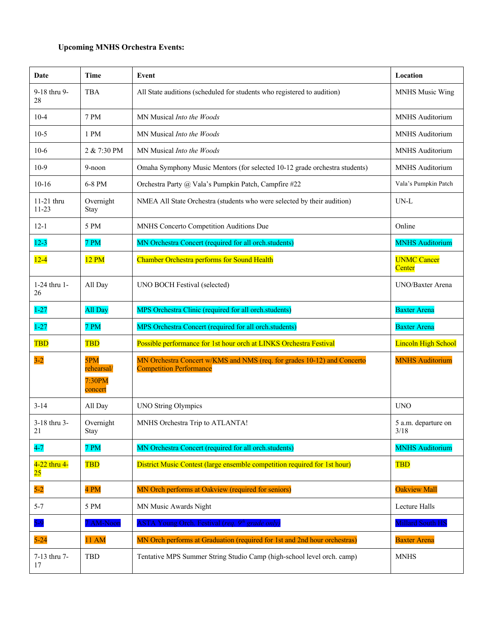# **Upcoming MNHS Orchestra Events:**

| Date                    | Time                                   | Event                                                                                                     | Location                     |
|-------------------------|----------------------------------------|-----------------------------------------------------------------------------------------------------------|------------------------------|
| 9-18 thru 9-<br>28      | <b>TBA</b>                             | All State auditions (scheduled for students who registered to audition)                                   | <b>MNHS Music Wing</b>       |
| $10-4$                  | 7 PM                                   | MN Musical Into the Woods                                                                                 | MNHS Auditorium              |
| $10-5$                  | 1 PM                                   | MN Musical Into the Woods                                                                                 | MNHS Auditorium              |
| $10-6$                  | 2 & 7:30 PM                            | MN Musical Into the Woods                                                                                 | MNHS Auditorium              |
| $10-9$                  | 9-noon                                 | Omaha Symphony Music Mentors (for selected 10-12 grade orchestra students)                                | MNHS Auditorium              |
| $10-16$                 | 6-8 PM                                 | Orchestra Party @ Vala's Pumpkin Patch, Campfire #22                                                      | Vala's Pumpkin Patch         |
| 11-21 thru<br>$11 - 23$ | Overnight<br>Stay                      | NMEA All State Orchestra (students who were selected by their audition)                                   | UN-L                         |
| $12-1$                  | 5 PM                                   | MNHS Concerto Competition Auditions Due                                                                   | Online                       |
| $12 - 3$                | 7 PM                                   | MN Orchestra Concert (required for all orch.students)                                                     | <b>MNHS Auditorium</b>       |
| $12 - 4$                | 12 PM                                  | Chamber Orchestra performs for Sound Health                                                               | <b>UNMC</b> Cancer<br>Center |
| 1-24 thru 1-<br>26      | All Day                                | UNO BOCH Festival (selected)                                                                              | <b>UNO/Baxter Arena</b>      |
| $1 - 27$                | All Day                                | MPS Orchestra Clinic (required for all orch.students)                                                     | <b>Baxter Arena</b>          |
|                         |                                        |                                                                                                           |                              |
| $1 - 27$                | 7 PM                                   | MPS Orchestra Concert (required for all orch.students)                                                    | <b>Baxter Arena</b>          |
| TBD                     | <b>TBD</b>                             | Possible performance for 1st hour orch at LINKS Orchestra Festival                                        | <b>Lincoln High School</b>   |
| $3 - 2$                 | 5PM<br>rehearsal/<br>7:30PM<br>concert | MN Orchestra Concert w/KMS and NMS (req. for grades 10-12) and Concerto<br><b>Competition Performance</b> | <b>MNHS Auditorium</b>       |
| $3 - 14$                | All Day                                | <b>UNO String Olympics</b>                                                                                | <b>UNO</b>                   |
| 3-18 thru 3-<br>21      | Overnight<br>Stay                      | MNHS Orchestra Trip to ATLANTA!                                                                           | 5 a.m. departure on<br>3/18  |
| $4-7$                   | 7 PM                                   | MN Orchestra Concert (required for all orch.students)                                                     | <b>MNHS Auditorium</b>       |
| 4-22 thru 4-<br>25      | <b>TBD</b>                             | District Music Contest (large ensemble competition required for 1st hour)                                 | <b>TBD</b>                   |
| $5-2$                   | 4 PM                                   | MN Orch performs at Oakview (required for seniors)                                                        | <b>Oakview Mall</b>          |
| $5 - 7$                 | 5 PM                                   | MN Music Awards Night                                                                                     | Lecture Halls                |
| $5 - 9$                 | 7 AM-Noon                              | ASTA Young Orch. Festival (req. 9 <sup>th</sup> grade only)                                               | <b>Millard South HS</b>      |
| $5-24$                  | <b>11 AM</b>                           | MN Orch performs at Graduation (required for 1st and 2nd hour orchestras)                                 | <b>Baxter Arena</b>          |